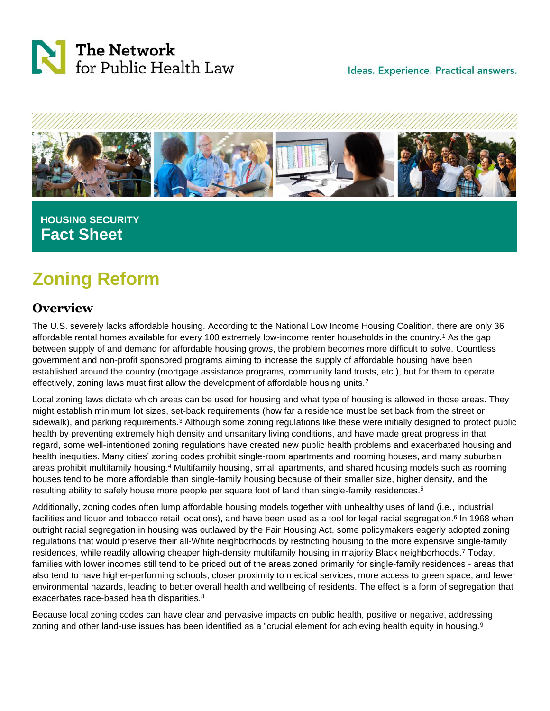



## **HOUSING SECURITY Fact Sheet**

# **Zoning Reform**

### **Overview**

The U.S. severely lacks affordable housing. According to the National Low Income Housing Coalition, there are only 36 affordable rental homes available for every 100 extremely low-income renter households in the country.<sup>1</sup> As the gap between supply of and demand for affordable housing grows, the problem becomes more difficult to solve. Countless government and non-profit sponsored programs aiming to increase the supply of affordable housing have been established around the country (mortgage assistance programs, community land trusts, etc.), but for them to operate effectively, zoning laws must first allow the development of affordable housing units.<sup>2</sup>

Local zoning laws dictate which areas can be used for housing and what type of housing is allowed in those areas. They might establish minimum lot sizes, set-back requirements (how far a residence must be set back from the street or sidewalk), and parking requirements.<sup>3</sup> Although some zoning regulations like these were initially designed to protect public health by preventing extremely high density and unsanitary living conditions, and have made great progress in that regard, some well-intentioned zoning regulations have created new public health problems and exacerbated housing and health inequities. Many cities' zoning codes prohibit single-room apartments and rooming houses, and many suburban areas prohibit multifamily housing.<sup>4</sup> Multifamily housing, small apartments, and shared housing models such as rooming houses tend to be more affordable than single-family housing because of their smaller size, higher density, and the resulting ability to safely house more people per square foot of land than single-family residences. 5

Additionally, zoning codes often lump affordable housing models together with unhealthy uses of land (i.e., industrial facilities and liquor and tobacco retail locations), and have been used as a tool for legal racial segregation.<sup>6</sup> In 1968 when outright racial segregation in housing was outlawed by the Fair Housing Act, some policymakers eagerly adopted zoning regulations that would preserve their all-White neighborhoods by restricting housing to the more expensive single-family residences, while readily allowing cheaper high-density multifamily housing in majority Black neighborhoods.<sup>7</sup> Today, families with lower incomes still tend to be priced out of the areas zoned primarily for single-family residences - areas that also tend to have higher-performing schools, closer proximity to medical services, more access to green space, and fewer environmental hazards, leading to better overall health and wellbeing of residents. The effect is a form of segregation that exacerbates race-based health disparities.<sup>8</sup>

Because local zoning codes can have clear and pervasive impacts on public health, positive or negative, addressing zoning and other land-use issues has been identified as a "crucial element for achieving health equity in housing.<sup>9</sup>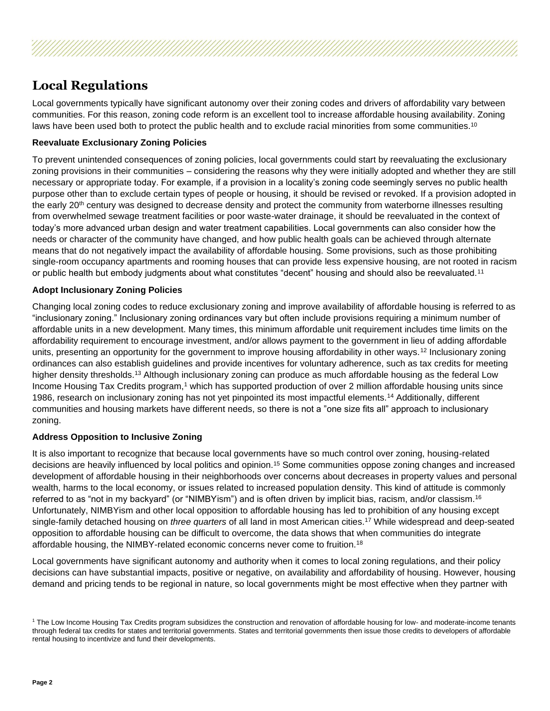

Local governments typically have significant autonomy over their zoning codes and drivers of affordability vary between communities. For this reason, zoning code reform is an excellent tool to increase affordable housing availability. Zoning laws have been used both to protect the public health and to exclude racial minorities from some communities.<sup>10</sup>

### **Reevaluate Exclusionary Zoning Policies**

To prevent unintended consequences of zoning policies, local governments could start by reevaluating the exclusionary zoning provisions in their communities – considering the reasons why they were initially adopted and whether they are still necessary or appropriate today. For example, if a provision in a locality's zoning code seemingly serves no public health purpose other than to exclude certain types of people or housing, it should be revised or revoked. If a provision adopted in the early 20<sup>th</sup> century was designed to decrease density and protect the community from waterborne illnesses resulting from overwhelmed sewage treatment facilities or poor waste-water drainage, it should be reevaluated in the context of today's more advanced urban design and water treatment capabilities. Local governments can also consider how the needs or character of the community have changed, and how public health goals can be achieved through alternate means that do not negatively impact the availability of affordable housing. Some provisions, such as those prohibiting single-room occupancy apartments and rooming houses that can provide less expensive housing, are not rooted in racism or public health but embody judgments about what constitutes "decent" housing and should also be reevaluated.<sup>11</sup>

### **Adopt Inclusionary Zoning Policies**

Changing local zoning codes to reduce exclusionary zoning and improve availability of affordable housing is referred to as "inclusionary zoning." Inclusionary zoning ordinances vary but often include provisions requiring a minimum number of affordable units in a new development. Many times, this minimum affordable unit requirement includes time limits on the affordability requirement to encourage investment, and/or allows payment to the government in lieu of adding affordable units, presenting an opportunity for the government to improve housing affordability in other ways.<sup>12</sup> Inclusionary zoning ordinances can also establish guidelines and provide incentives for voluntary adherence, such as tax credits for meeting higher density thresholds.<sup>13</sup> Although inclusionary zoning can produce as much affordable housing as the federal Low Income Housing Tax Credits program,<sup>1</sup> which has supported production of over 2 million affordable housing units since 1986, research on inclusionary zoning has not yet pinpointed its most impactful elements.<sup>14</sup> Additionally, different communities and housing markets have different needs, so there is not a "one size fits all" approach to inclusionary zoning.

### **Address Opposition to Inclusive Zoning**

It is also important to recognize that because local governments have so much control over zoning, housing-related decisions are heavily influenced by local politics and opinion.<sup>15</sup> Some communities oppose zoning changes and increased development of affordable housing in their neighborhoods over concerns about decreases in property values and personal wealth, harms to the local economy, or issues related to increased population density. This kind of attitude is commonly referred to as "not in my backyard" (or "NIMBYism") and is often driven by implicit bias, racism, and/or classism.<sup>16</sup> Unfortunately, NIMBYism and other local opposition to affordable housing has led to prohibition of any housing except single-family detached housing on *three quarters* of all land in most American cities.<sup>17</sup> While widespread and deep-seated opposition to affordable housing can be difficult to overcome, the data shows that when communities do integrate affordable housing, the NIMBY-related economic concerns never come to fruition.<sup>18</sup>

Local governments have significant autonomy and authority when it comes to local zoning regulations, and their policy decisions can have substantial impacts, positive or negative, on availability and affordability of housing. However, housing demand and pricing tends to be regional in nature, so local governments might be most effective when they partner with

<sup>&</sup>lt;sup>1</sup> The Low Income Housing Tax Credits program subsidizes the construction and renovation of affordable housing for low- and moderate-income tenants through federal tax credits for states and territorial governments. States and territorial governments then issue those credits to developers of affordable rental housing to incentivize and fund their developments.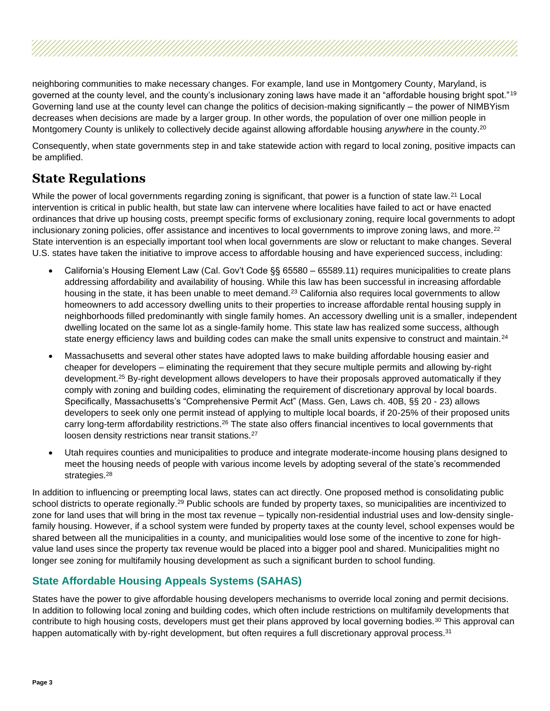neighboring communities to make necessary changes. For example, land use in Montgomery County, Maryland, is governed at the county level, and the county's inclusionary zoning laws have made it an "affordable housing bright spot."<sup>19</sup> Governing land use at the county level can change the politics of decision-making significantly – the power of NIMBYism decreases when decisions are made by a larger group. In other words, the population of over one million people in Montgomery County is unlikely to collectively decide against allowing affordable housing *anywhere* in the county.<sup>20</sup>

Consequently, when state governments step in and take statewide action with regard to local zoning, positive impacts can be amplified.

### **State Regulations**

While the power of local governments regarding zoning is significant, that power is a function of state law.<sup>21</sup> Local intervention is critical in public health, but state law can intervene where localities have failed to act or have enacted ordinances that drive up housing costs, preempt specific forms of exclusionary zoning, require local governments to adopt inclusionary zoning policies, offer assistance and incentives to local governments to improve zoning laws, and more.<sup>22</sup> State intervention is an especially important tool when local governments are slow or reluctant to make changes. Several U.S. states have taken the initiative to improve access to affordable housing and have experienced success, including:

- California's Housing Element Law (Cal. Gov't Code §§ 65580 65589.11) requires municipalities to create plans addressing affordability and availability of housing. While this law has been successful in increasing affordable housing in the state, it has been unable to meet demand.<sup>23</sup> California also requires local governments to allow homeowners to add accessory dwelling units to their properties to increase affordable rental housing supply in neighborhoods filled predominantly with single family homes. An accessory dwelling unit is a smaller, independent dwelling located on the same lot as a single-family home. This state law has realized some success, although state energy efficiency laws and building codes can make the small units expensive to construct and maintain.<sup>24</sup>
- Massachusetts and several other states have adopted laws to make building affordable housing easier and cheaper for developers – eliminating the requirement that they secure multiple permits and allowing by-right development.<sup>25</sup> By-right development allows developers to have their proposals approved automatically if they comply with zoning and building codes, eliminating the requirement of discretionary approval by local boards. Specifically, Massachusetts's "Comprehensive Permit Act" (Mass. Gen, Laws ch. 40B, §§ 20 - 23) allows developers to seek only one permit instead of applying to multiple local boards, if 20-25% of their proposed units carry long-term affordability restrictions.<sup>26</sup> The state also offers financial incentives to local governments that loosen density restrictions near transit stations.<sup>27</sup>
- Utah requires counties and municipalities to produce and integrate moderate-income housing plans designed to meet the housing needs of people with various income levels by adopting several of the state's recommended strategies.<sup>28</sup>

In addition to influencing or preempting local laws, states can act directly. One proposed method is consolidating public school districts to operate regionally.<sup>29</sup> Public schools are funded by property taxes, so municipalities are incentivized to zone for land uses that will bring in the most tax revenue – typically non-residential industrial uses and low-density singlefamily housing. However, if a school system were funded by property taxes at the county level, school expenses would be shared between all the municipalities in a county, and municipalities would lose some of the incentive to zone for highvalue land uses since the property tax revenue would be placed into a bigger pool and shared. Municipalities might no longer see zoning for multifamily housing development as such a significant burden to school funding.

### **State Affordable Housing Appeals Systems (SAHAS)**

States have the power to give affordable housing developers mechanisms to override local zoning and permit decisions. In addition to following local zoning and building codes, which often include restrictions on multifamily developments that contribute to high housing costs, developers must get their plans approved by local governing bodies.<sup>30</sup> This approval can happen automatically with by-right development, but often requires a full discretionary approval process.<sup>31</sup>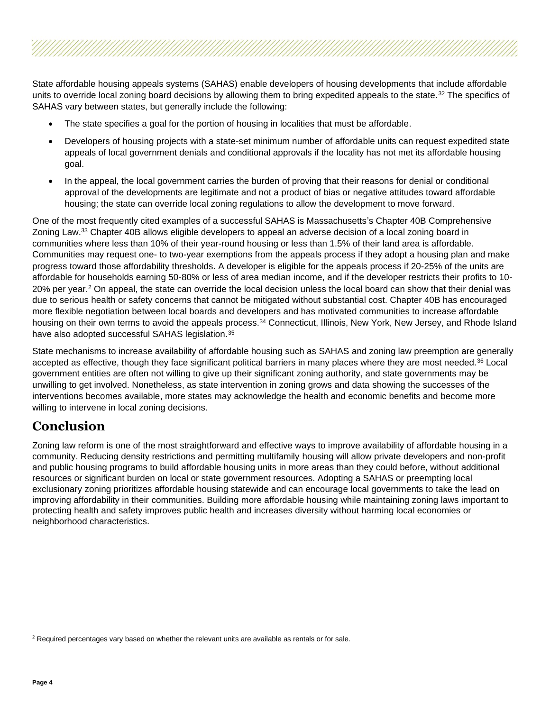State affordable housing appeals systems (SAHAS) enable developers of housing developments that include affordable units to override local zoning board decisions by allowing them to bring expedited appeals to the state.<sup>32</sup> The specifics of SAHAS vary between states, but generally include the following:

- The state specifies a goal for the portion of housing in localities that must be affordable.
- Developers of housing projects with a state-set minimum number of affordable units can request expedited state appeals of local government denials and conditional approvals if the locality has not met its affordable housing goal.
- In the appeal, the local government carries the burden of proving that their reasons for denial or conditional approval of the developments are legitimate and not a product of bias or negative attitudes toward affordable housing; the state can override local zoning regulations to allow the development to move forward.

One of the most frequently cited examples of a successful SAHAS is Massachusetts's Chapter 40B Comprehensive Zoning Law.<sup>33</sup> Chapter 40B allows eligible developers to appeal an adverse decision of a local zoning board in communities where less than 10% of their year-round housing or less than 1.5% of their land area is affordable. Communities may request one- to two-year exemptions from the appeals process if they adopt a housing plan and make progress toward those affordability thresholds. A developer is eligible for the appeals process if 20-25% of the units are affordable for households earning 50-80% or less of area median income, and if the developer restricts their profits to 10- 20% per year.<sup>2</sup> On appeal, the state can override the local decision unless the local board can show that their denial was due to serious health or safety concerns that cannot be mitigated without substantial cost. Chapter 40B has encouraged more flexible negotiation between local boards and developers and has motivated communities to increase affordable housing on their own terms to avoid the appeals process.<sup>34</sup> Connecticut, Illinois, New York, New Jersey, and Rhode Island have also adopted successful SAHAS legislation.<sup>35</sup>

State mechanisms to increase availability of affordable housing such as SAHAS and zoning law preemption are generally accepted as effective, though they face significant political barriers in many places where they are most needed.<sup>36</sup> Local government entities are often not willing to give up their significant zoning authority, and state governments may be unwilling to get involved. Nonetheless, as state intervention in zoning grows and data showing the successes of the interventions becomes available, more states may acknowledge the health and economic benefits and become more willing to intervene in local zoning decisions.

### **Conclusion**

Zoning law reform is one of the most straightforward and effective ways to improve availability of affordable housing in a community. Reducing density restrictions and permitting multifamily housing will allow private developers and non-profit and public housing programs to build affordable housing units in more areas than they could before, without additional resources or significant burden on local or state government resources. Adopting a SAHAS or preempting local exclusionary zoning prioritizes affordable housing statewide and can encourage local governments to take the lead on improving affordability in their communities. Building more affordable housing while maintaining zoning laws important to protecting health and safety improves public health and increases diversity without harming local economies or neighborhood characteristics.

<sup>&</sup>lt;sup>2</sup> Required percentages vary based on whether the relevant units are available as rentals or for sale.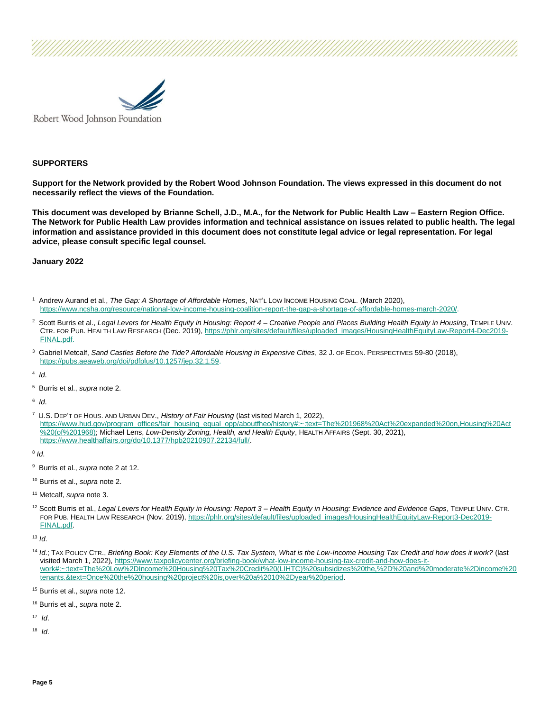

#### **SUPPORTERS**

**Support for the Network provided by the Robert Wood Johnson Foundation. The views expressed in this document do not necessarily reflect the views of the Foundation.**

**This document was developed by Brianne Schell, J.D., M.A., for the Network for Public Health Law – Eastern Region Office. The Network for Public Health Law provides information and technical assistance on issues related to public health. The legal information and assistance provided in this document does not constitute legal advice or legal representation. For legal advice, please consult specific legal counsel.**

**January 2022**

- <sup>1</sup> Andrew Aurand et al., *The Gap: A Shortage of Affordable Homes*, NAT'L LOW INCOME HOUSING COAL. (March 2020), [https://www.ncsha.org/resource/national-low-income-housing-coalition-report-the-gap-a-shortage-of-affordable-homes-march-2020/.](https://www.ncsha.org/resource/national-low-income-housing-coalition-report-the-gap-a-shortage-of-affordable-homes-march-2020/)
- <sup>2</sup> Scott Burris et al., *Legal Levers for Health Equity in Housing: Report 4 – Creative People and Places Building Health Equity in Housing*, TEMPLE UNIV. CTR. FOR PUB. HEALTH LAW RESEARCH (Dec. 2019), [https://phlr.org/sites/default/files/uploaded\\_images/HousingHealthEquityLaw-Report4-Dec2019-](https://phlr.org/sites/default/files/uploaded_images/HousingHealthEquityLaw-Report4-Dec2019-FINAL.pdf) [FINAL.pdf.](https://phlr.org/sites/default/files/uploaded_images/HousingHealthEquityLaw-Report4-Dec2019-FINAL.pdf)
- 3 Gabriel Metcalf, *Sand Castles Before the Tide? Affordable Housing in Expensive Cities*, 32 J. OF ECON. PERSPECTIVES 59-80 (2018), [https://pubs.aeaweb.org/doi/pdfplus/10.1257/jep.32.1.59.](https://pubs.aeaweb.org/doi/pdfplus/10.1257/jep.32.1.59)

4 *Id*.

<sup>5</sup> Burris et al., *supra* note 2.

6 *Id*.

<sup>7</sup> U.S. DEP'T OF HOUS. AND URBAN DEV., *History of Fair Housing* (last visited March 1, 2022), [https://www.hud.gov/program\\_offices/fair\\_housing\\_equal\\_opp/aboutfheo/history#:~:text=The%201968%20Act%20expanded%20on,Housing%20Act](https://www.hud.gov/program_offices/fair_housing_equal_opp/aboutfheo/history#:~:text=The%201968%20Act%20expanded%20on,Housing%20Act%20(of%201968)) [%20\(of%201968\);](https://www.hud.gov/program_offices/fair_housing_equal_opp/aboutfheo/history#:~:text=The%201968%20Act%20expanded%20on,Housing%20Act%20(of%201968)) Michael Lens, *Low-Density Zoning, Health, and Health Equity*, HEALTH AFFAIRS (Sept. 30, 2021), [https://www.healthaffairs.org/do/10.1377/hpb20210907.22134/full/.](https://www.healthaffairs.org/do/10.1377/hpb20210907.22134/full/)

8 *Id*.

<sup>9</sup> Burris et al., *supra* note 2 at 12.

<sup>10</sup> Burris et al., *supra* note 2.

- <sup>11</sup> Metcalf, *supra* note 3.
- <sup>12</sup> Scott Burris et al., *Legal Levers for Health Equity in Housing: Report 3 – Health Equity in Housing: Evidence and Evidence Gaps*, TEMPLE UNIV. CTR. FOR PUB. HEALTH LAW RESEARCH (Nov. 2019), [https://phlr.org/sites/default/files/uploaded\\_images/HousingHealthEquityLaw-Report3-Dec2019-](https://phlr.org/sites/default/files/uploaded_images/HousingHealthEquityLaw-Report3-Dec2019-FINAL.pdf) [FINAL.pdf.](https://phlr.org/sites/default/files/uploaded_images/HousingHealthEquityLaw-Report3-Dec2019-FINAL.pdf)

<sup>13</sup> *Id*.

<sup>14</sup> *Id*.; TAX POLICY CTR., *Briefing Book: Key Elements of the U.S. Tax System, What is the Low-Income Housing Tax Credit and how does it work?* (last visited March 1, 2022), [https://www.taxpolicycenter.org/briefing-book/what-low-income-housing-tax-credit-and-how-does-it](https://www.taxpolicycenter.org/briefing-book/what-low-income-housing-tax-credit-and-how-does-it-work#:~:text=The%20Low%2DIncome%20Housing%20Tax%20Credit%20(LIHTC)%20subsidizes%20the,%2D%20and%20moderate%2Dincome%20tenants.&text=Once%20the%20housing%20project%20is,over%20a%2010%2Dyear%20period)[work#:~:text=The%20Low%2DIncome%20Housing%20Tax%20Credit%20\(LIHTC\)%20subsidizes%20the,%2D%20and%20moderate%2Dincome%20](https://www.taxpolicycenter.org/briefing-book/what-low-income-housing-tax-credit-and-how-does-it-work#:~:text=The%20Low%2DIncome%20Housing%20Tax%20Credit%20(LIHTC)%20subsidizes%20the,%2D%20and%20moderate%2Dincome%20tenants.&text=Once%20the%20housing%20project%20is,over%20a%2010%2Dyear%20period) [tenants.&text=Once%20the%20housing%20project%20is,over%20a%2010%2Dyear%20period.](https://www.taxpolicycenter.org/briefing-book/what-low-income-housing-tax-credit-and-how-does-it-work#:~:text=The%20Low%2DIncome%20Housing%20Tax%20Credit%20(LIHTC)%20subsidizes%20the,%2D%20and%20moderate%2Dincome%20tenants.&text=Once%20the%20housing%20project%20is,over%20a%2010%2Dyear%20period) 

<sup>18</sup> *Id*.

<sup>15</sup> Burris et al., *supra* note 12.

<sup>16</sup> Burris et al., *supra* note 2.

<sup>17</sup> *Id*.